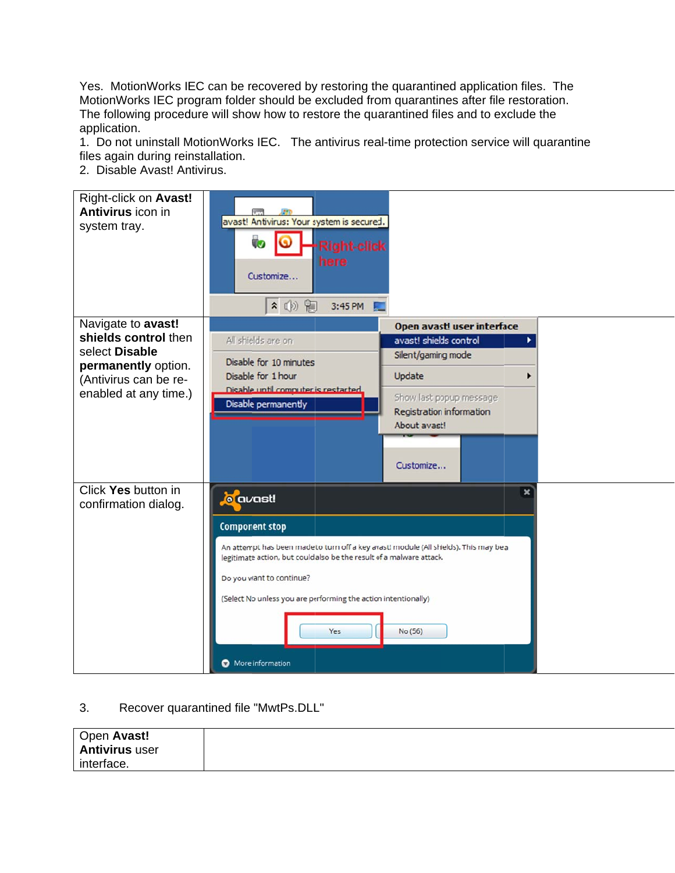Yes. MotionWorks IEC can be recovered by restoring the quarantined application files. The MotionWorks IEC program folder should be excluded from quarantines after file restoration. The following procedure will show how to restore the quarantined files and to exclude the application.

1. Do not uninstall MotionWorks IEC. The antivirus real-time protection service will quarantine files again during reinstallation.

2. Disable Avast! Antivirus.



## 3. Recover quarantined file "MwtPs.DLL"

| Open Avast!           |  |
|-----------------------|--|
| <b>Antivirus user</b> |  |
| interface.            |  |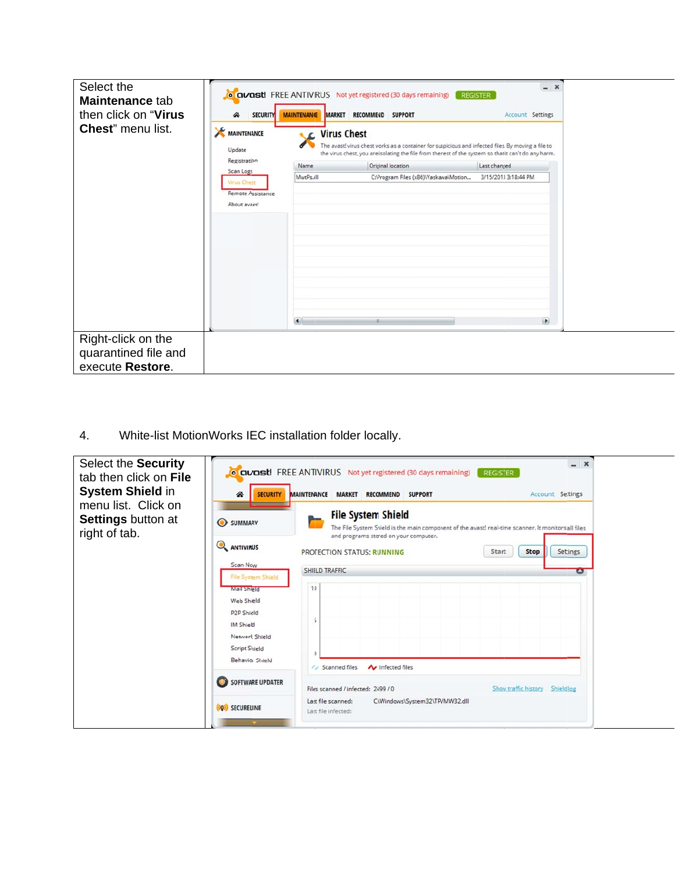| Select the<br>Maintenance tab<br>then click on "Virus"<br>Chest" menu list. | <b>SECURITY</b><br>⋘<br><b>MAINTENANCE</b><br>Update                 | <b>MARKET</b><br><b>MAINTENANCE</b><br><b>NE</b> Virus Chest | <b>O CIVOSt!</b> FREE ANTIVIRUS Not yet registered (30 days remaining)<br>RECOMMEND SUPPORT | $- x$<br><b>REGISTER</b><br><b>Account Settings</b><br>The avast! virus chest works as a container for suspicious and infected files. By moving a file to<br>the virus chest, you are isolating the file from the rest of the system so that it can't do any harm. |
|-----------------------------------------------------------------------------|----------------------------------------------------------------------|--------------------------------------------------------------|---------------------------------------------------------------------------------------------|--------------------------------------------------------------------------------------------------------------------------------------------------------------------------------------------------------------------------------------------------------------------|
|                                                                             | Registration                                                         | Name                                                         | Original location                                                                           | Last changed                                                                                                                                                                                                                                                       |
|                                                                             | Scan Logs<br><b>Virus Chest</b><br>Remote Assistance<br>About avast! | MwtPs.dll<br>$\blacksquare$                                  | C:\Program Files (x86)\Yaskawa\Motion<br>п.                                                 | 3/15/2013 3:18:44 PM<br>D.                                                                                                                                                                                                                                         |
| Right-click on the<br>quarantined file and<br>execute Restore.              |                                                                      |                                                              |                                                                                             |                                                                                                                                                                                                                                                                    |

| 4.<br>Select the Security<br>tab then click on File<br><b>System Shield in</b> | ☎<br><b>SECURITY</b>                                                                                                                                                                                 | White-list MotionWorks IEC installation folder locally.<br>$- x$<br><b>O CIVERSE:</b> FREE ANTIVIRUS Not yet registered (30 days remaining)<br><b>REGISTER</b><br>MAINTENANCE MARKET RECOMMEND SUPPORT<br>Account Settings                                                                                                    |
|--------------------------------------------------------------------------------|------------------------------------------------------------------------------------------------------------------------------------------------------------------------------------------------------|-------------------------------------------------------------------------------------------------------------------------------------------------------------------------------------------------------------------------------------------------------------------------------------------------------------------------------|
| menu list. Click on<br><b>Settings button at</b><br>right of tab.              | SUMMARY<br><b>ANTIVIRUS</b><br>Scan Now<br>File System Shield<br>Mail Sheld<br>Web Sheld<br>P <sub>2</sub> P Shield<br>IM Shield<br>Networt Shield<br><b>Script Shield</b><br><b>Behavior Shield</b> | <b>File System Shield</b><br>The File System Shield is the main component of the avast! real-time scanner. It monitors all files<br>and programs stored on your computer.<br><b>Stop</b><br>Settings<br>PROTECTION STATUS: RUNNING<br>Start<br>SHIELD TRAFFIC<br>Ξ<br>10<br>$\wedge$ Scanned files<br><b>A</b> Infected files |
|                                                                                | SOFTWARE UPDATER<br>(Q) SECURELINE                                                                                                                                                                   | Files scanned / infected: 2499 / 0<br>Show traffic history Shieldlog<br>Last file scanned:<br>C:\Windows\System32\TPVMW32.dll<br>Last file infected:                                                                                                                                                                          |